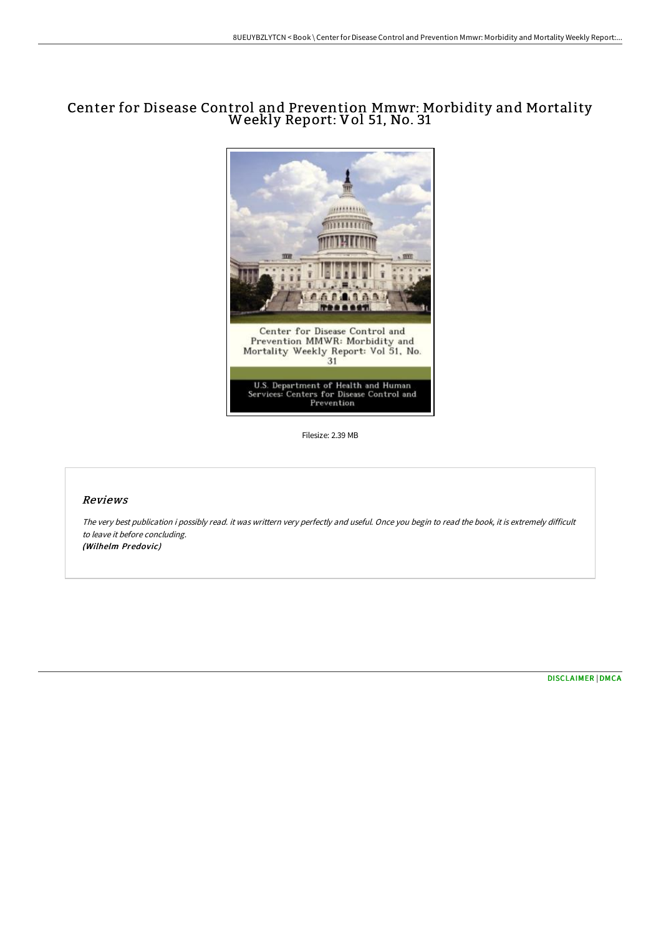# Center for Disease Control and Prevention Mmwr: Morbidity and Mortality Weekly Report: Vol 51, No. <sup>31</sup>



Filesize: 2.39 MB

#### Reviews

The very best publication i possibly read. it was writtern very perfectly and useful. Once you begin to read the book, it is extremely difficult to leave it before concluding. (Wilhelm Predovic)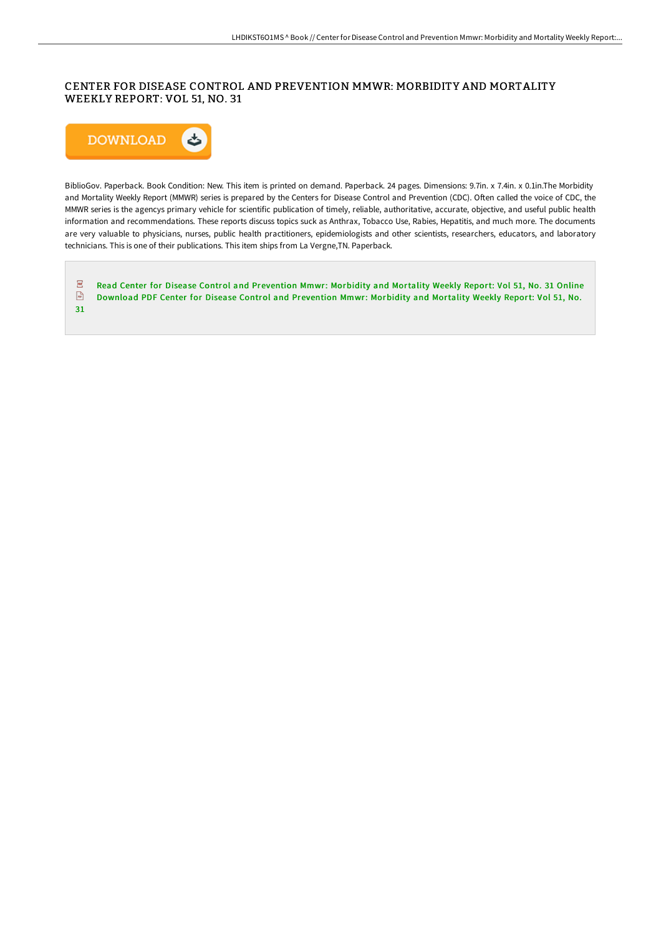# CENTER FOR DISEASE CONTROL AND PREVENTION MMWR: MORBIDITY AND MORTALITY WEEKLY REPORT: VOL 51, NO. 31



BiblioGov. Paperback. Book Condition: New. This item is printed on demand. Paperback. 24 pages. Dimensions: 9.7in. x 7.4in. x 0.1in.The Morbidity and Mortality Weekly Report (MMWR) series is prepared by the Centers for Disease Control and Prevention (CDC). Often called the voice of CDC, the MMWR series is the agencys primary vehicle for scientific publication of timely, reliable, authoritative, accurate, objective, and useful public health information and recommendations. These reports discuss topics suck as Anthrax, Tobacco Use, Rabies, Hepatitis, and much more. The documents are very valuable to physicians, nurses, public health practitioners, epidemiologists and other scientists, researchers, educators, and laboratory technicians. This is one of their publications. This item ships from La Vergne,TN. Paperback.

 $\overline{\mathbf{P}^{\mathbf{p}}}$ Read Center for Disease Control and [Prevention](http://www.bookdirs.com/center-for-disease-control-and-prevention-mmwr-m-19.html) Mmwr: Morbidity and Mortality Weekly Report: Vol 51, No. 31 Online  $\frac{D}{P56}$ Download PDF Center for Disease Control and [Prevention](http://www.bookdirs.com/center-for-disease-control-and-prevention-mmwr-m-19.html) Mmwr: Morbidity and Mortality Weekly Report: Vol 51, No.

31